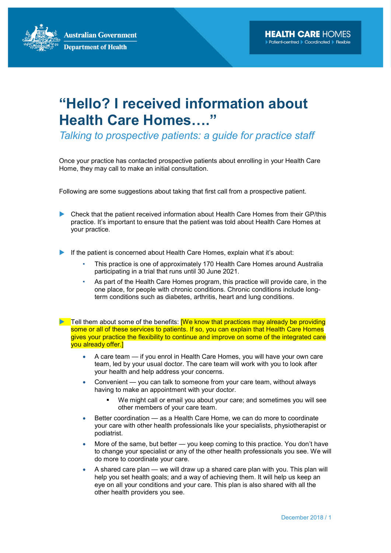**Australian Government Department of Health** 

## "Hello? I received information about Health Care Homes…."

Talking to prospective patients: a guide for practice staff

Once your practice has contacted prospective patients about enrolling in your Health Care Home, they may call to make an initial consultation.

Following are some suggestions about taking that first call from a prospective patient.

- Check that the patient received information about Health Care Homes from their GP/this practice. It's important to ensure that the patient was told about Health Care Homes at your practice.
- If the patient is concerned about Health Care Homes, explain what it's about:
	- This practice is one of approximately 170 Health Care Homes around Australia participating in a trial that runs until 30 June 2021.
	- As part of the Health Care Homes program, this practice will provide care, in the one place, for people with chronic conditions. Chronic conditions include longterm conditions such as diabetes, arthritis, heart and lung conditions.
- $\blacktriangleright$  Tell them about some of the benefits: **[We know that practices may already be providing** some or all of these services to patients. If so, you can explain that Health Care Homes gives your practice the flexibility to continue and improve on some of the integrated care you already offer.]
	- A care team if you enrol in Health Care Homes, you will have your own care team, led by your usual doctor. The care team will work with you to look after your health and help address your concerns.
	- Convenient you can talk to someone from your care team, without always having to make an appointment with your doctor.
		- We might call or email you about your care; and sometimes you will see other members of your care team.
	- Better coordination as a Health Care Home, we can do more to coordinate your care with other health professionals like your specialists, physiotherapist or podiatrist.
	- More of the same, but better you keep coming to this practice. You don't have to change your specialist or any of the other health professionals you see. We will do more to coordinate your care.
	- A shared care plan we will draw up a shared care plan with you. This plan will help you set health goals; and a way of achieving them. It will help us keep an eye on all your conditions and your care. This plan is also shared with all the other health providers you see.